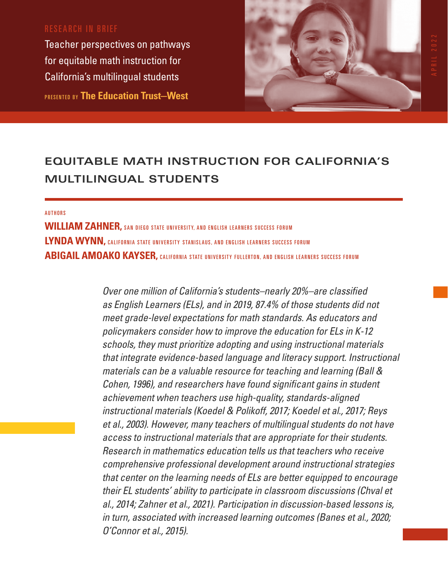# RESEARCH IN BRIEF

Teacher perspectives on pathways for equitable math instruction for California's multilingual students PRESENTED BY **The Education Trust—West**



# **EQUITABLE MATH INSTRUCTION FOR CALIFORNIA'S MULTILINGUAL STUDENTS**

#### **AUTHORS**

**WILLIAM ZAHNER,** SAN DIEGO STATE UNIVERSITY, AND ENGLISH LEARNERS SUCCESS FORUM LYNDA WYNN, CALIFORNIA STATE UNIVERSITY STANISLAUS, AND ENGLISH LEARNERS SUCCESS FORUM **ABIGAIL AMOAKO KAYSER, CALIFORNIA STATE UNIVERSITY FULLERTON, AND ENGLISH LEARNERS SUCCESS FORUM** 

> *Over one million of California's students–nearly 20%–are classified as English Learners (ELs), and in 2019, 87.4% of those students did not meet grade-level expectations for math standards. As educators and policymakers consider how to improve the education for ELs in K-12 schools, they must prioritize adopting and using instructional materials that integrate evidence-based language and literacy support. Instructional materials can be a valuable resource for teaching and learning (Ball & Cohen, 1996), and researchers have found significant gains in student achievement when teachers use high-quality, standards-aligned instructional materials (Koedel & Polikoff, 2017; Koedel et al., 2017; Reys et al., 2003). However, many teachers of multilingual students do not have access to instructional materials that are appropriate for their students. Research in mathematics education tells us that teachers who receive comprehensive professional development around instructional strategies that center on the learning needs of ELs are better equipped to encourage their EL students' ability to participate in classroom discussions (Chval et al., 2014; Zahner et al., 2021). Participation in discussion-based lessons is, in turn, associated with increased learning outcomes (Banes et al., 2020; O'Connor et al., 2015).*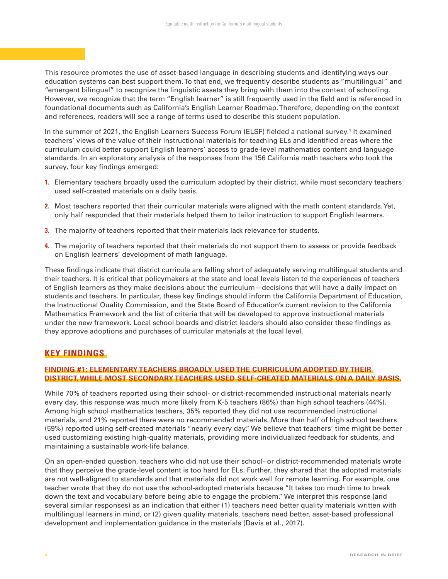This resource promotes the use of asset-based language in describing students and identifying ways our education systems can best support them. To that end, we frequently describe students as "multilingual" and "emergent bilingual" to recognize the linguistic assets they bring with them into the context of schooling. However, we recognize that the term "English learner" is still frequently used in the field and is referenced in foundational documents such as California's English Learner Roadmap. Therefore, depending on the context and references, readers will see a range of terms used to describe this student population.

In the summer of 2021, the English Learners Success Forum (ELSF) fielded a national survey.<sup>1</sup> It examined teachers' views of the value of their instructional materials for teaching ELs and identified areas where the curriculum could better support English learners' access to grade-level mathematics content and language standards. In an exploratory analysis of the responses from the 156 California math teachers who took the survey, four key findings emerged:

- **1.** Elementary teachers broadly used the curriculum adopted by their district, while most secondary teachers used self-created materials on a daily basis.
- **2.** Most teachers reported that their curricular materials were aligned with the math content standards. Yet, only half responded that their materials helped them to tailor instruction to support English learners.
- **3.** The majority of teachers reported that their materials lack relevance for students.
- **4.** The majority of teachers reported that their materials do not support them to assess or provide feedback on English learners' development of math language.

These findings indicate that district curricula are falling short of adequately serving multilingual students and their teachers. It is critical that policymakers at the state and local levels listen to the experiences of teachers of English learners as they make decisions about the curriculum—decisions that will have a daily impact on students and teachers. In particular, these key findings should inform the California Department of Education, the Instructional Quality Commission, and the State Board of Education's current revision to the California Mathematics Framework and the list of criteria that will be developed to approve instructional materials under the new framework. Local school boards and district leaders should also consider these findings as they approve adoptions and purchases of curricular materials at the local level.

# **KEY FINDINGS**

### **FINDING #1: ELEMENTARY TEACHERS BROADLY USED THE CURRICULUM ADOPTED BY THEIR DISTRICT, WHILE MOST SECONDARY TEACHERS USED SELF-CREATED MATERIALS ON A DAILY BASIS.**

While 70% of teachers reported using their school- or district-recommended instructional materials nearly every day, this response was much more likely from K-5 teachers (86%) than high school teachers (44%). Among high school mathematics teachers, 35% reported they did not use recommended instructional materials, and 21% reported there were no recommended materials. More than half of high school teachers (59%) reported using self-created materials "nearly every day." We believe that teachers' time might be better used customizing existing high-quality materials, providing more individualized feedback for students, and maintaining a sustainable work-life balance.

On an open-ended question, teachers who did not use their school- or district-recommended materials wrote that they perceive the grade-level content is too hard for ELs. Further, they shared that the adopted materials are not well-aligned to standards and that materials did not work well for remote learning. For example, one teacher wrote that they do not use the school-adopted materials because "It takes too much time to break down the text and vocabulary before being able to engage the problem." We interpret this response (and several similar responses) as an indication that either (1) teachers need better quality materials written with multilingual learners in mind, or (2) given quality materials, teachers need better, asset-based professional development and implementation guidance in the materials (Davis et al., 2017).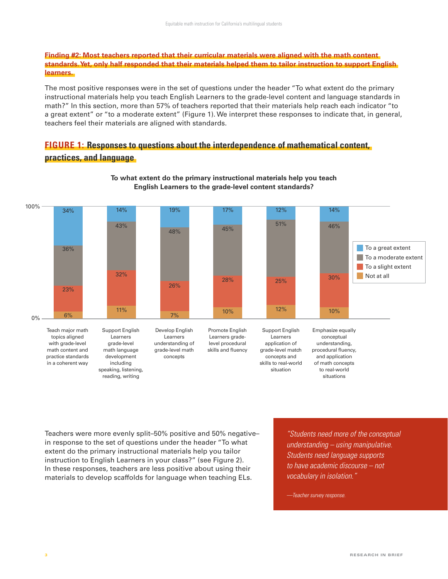#### **Finding #2: Most teachers reported that their curricular materials were aligned with the math content standards. Yet, only half responded that their materials helped them to tailor instruction to support English learners.**

The most positive responses were in the set of questions under the header "To what extent do the primary instructional materials help you teach English Learners to the grade-level content and language standards in math?" In this section, more than 57% of teachers reported that their materials help reach each indicator "to a great extent" or "to a moderate extent" (Figure 1). We interpret these responses to indicate that, in general, teachers feel their materials are aligned with standards.

# **FIGURE 1: Responses to questions about the interdependence of mathematical content, practices, and language**



#### **To what extent do the primary instructional materials help you teach English Learners to the grade-level content standards?**

Teachers were more evenly split–50% positive and 50% negative– in response to the set of questions under the header "To what extent do the primary instructional materials help you tailor instruction to English Learners in your class?" (see Figure 2). In these responses, teachers are less positive about using their materials to develop scaffolds for language when teaching ELs.

*"Students need more of the conceptual understanding – using manipulative. Students need language supports to have academic discourse – not vocabulary in isolation."*

*—Teacher survey response.*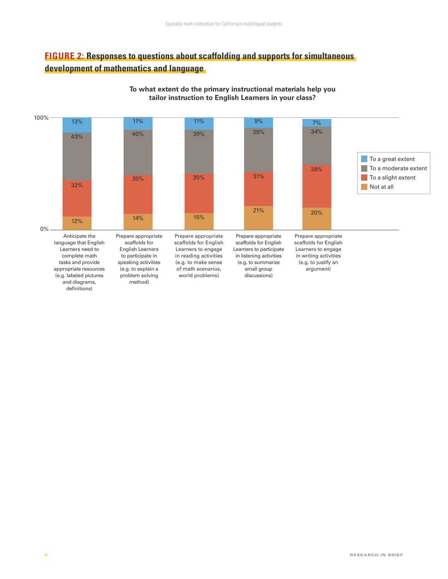# **FIGURE 2: Responses to questions about scaffolding and supports for simultaneous development of mathematics and language**



#### **To what extent do the primary instructional materials help you tailor instruction to English Learners in your class?**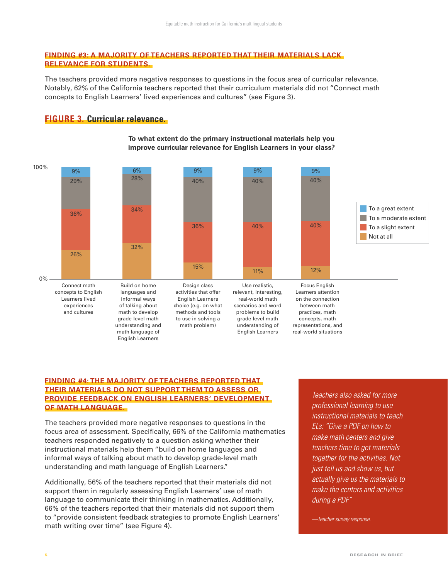#### **FINDING #3: A MAJORITY OF TEACHERS REPORTED THAT THEIR MATERIALS LACK RELEVANCE FOR STUDENTS.**

The teachers provided more negative responses to questions in the focus area of curricular relevance. Notably, 62% of the California teachers reported that their curriculum materials did not "Connect math concepts to English Learners' lived experiences and cultures" (see Figure 3).

# **FIGURE 3. Curricular relevance.**



#### **To what extent do the primary instructional materials help you improve curricular relevance for English Learners in your class?**

#### **FINDING #4: THE MAJORITY OF TEACHERS REPORTED THAT THEIR MATERIALS DO NOT SUPPORT THEM TO ASSESS OR PROVIDE FEEDBACK ON ENGLISH LEARNERS' DEVELOPMENT OF MATH LANGUAGE.**

The teachers provided more negative responses to questions in the focus area of assessment. Specifically, 66% of the California mathematics teachers responded negatively to a question asking whether their instructional materials help them "build on home languages and informal ways of talking about math to develop grade-level math understanding and math language of English Learners."

Additionally, 56% of the teachers reported that their materials did not support them in regularly assessing English Learners' use of math language to communicate their thinking in mathematics. Additionally, 66% of the teachers reported that their materials did not support them to "provide consistent feedback strategies to promote English Learners' math writing over time" (see Figure 4).

*Teachers also asked for more professional learning to use instructional materials to teach ELs: "Give a PDF on how to make math centers and give teachers time to get materials together for the activities. Not just tell us and show us, but actually give us the materials to make the centers and activities during a PDF"*

*—Teacher survey response.*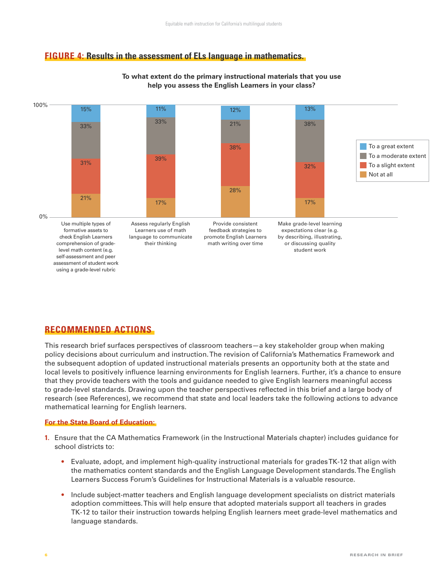# **FIGURE 4: Results in the assessment of ELs language in mathematics.**



#### **To what extent do the primary instructional materials that you use help you assess the English Learners in your class?**

# **RECOMMENDED ACTIONS**

This research brief surfaces perspectives of classroom teachers—a key stakeholder group when making policy decisions about curriculum and instruction. The revision of California's Mathematics Framework and the subsequent adoption of updated instructional materials presents an opportunity both at the state and local levels to positively influence learning environments for English learners. Further, it's a chance to ensure that they provide teachers with the tools and guidance needed to give English learners meaningful access to grade-level standards. Drawing upon the teacher perspectives reflected in this brief and a large body of research (see References), we recommend that state and local leaders take the following actions to advance mathematical learning for English learners.

#### **For the State Board of Education:**

- **1.** Ensure that the CA Mathematics Framework (in the Instructional Materials chapter) includes guidance for school districts to:
	- **•** Evaluate, adopt, and implement high-quality instructional materials for grades TK-12 that align with the mathematics content standards and the English Language Development standards. The English Learners Success Forum's Guidelines for Instructional Materials is a valuable resource.
	- **•** Include subject-matter teachers and English language development specialists on district materials adoption committees. This will help ensure that adopted materials support all teachers in grades TK-12 to tailor their instruction towards helping English learners meet grade-level mathematics and language standards.